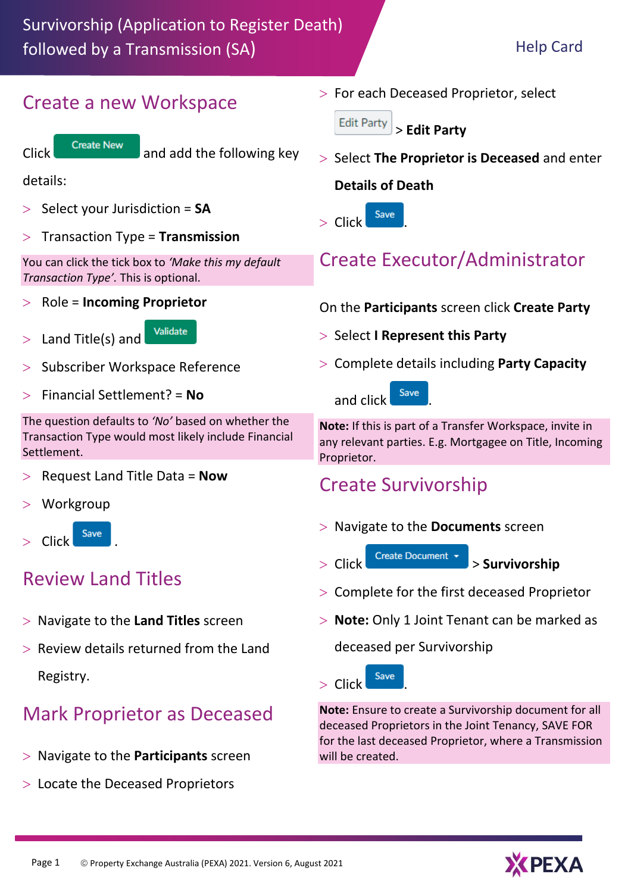#### Create a new Workspace



Click Create New and add the following key

details:

- Select your Jurisdiction = **SA**
- Transaction Type = **Transmission**

You can click the tick box to *'Make this my default Transaction Type'.* This is optional.

Role = **Incoming Proprietor**

Validate  $>$  Land Title(s) and

- Subscriber Workspace Reference
- Financial Settlement? = **No**

The question defaults to *'No'* based on whether the Transaction Type would most likely include Financial Settlement.

- Request Land Title Data = **Now**
- **Workgroup**



### Review Land Titles

- Navigate to the **Land Titles** screen
- Review details returned from the Land Registry.

### Mark Proprietor as Deceased

- Navigate to the **Participants** screen
- Locate the Deceased Proprietors

 $>$  For each Deceased Proprietor, select

**Edit Party** > **Edit Party** 

 Select **The Proprietor is Deceased** and enter **Details of Death**



# Create Executor/Administrator

On the **Participants** screen click **Create Party**

- > Select **I Represent this Party**
- Complete details including **Party Capacity**



**Note:** If this is part of a Transfer Workspace, invite in any relevant parties. E.g. Mortgagee on Title, Incoming Proprietor.

## Create Survivorship

- Navigate to the **Documents** screen
- Click > **Survivorship**
- Complete for the first deceased Proprietor
- **Note:** Only 1 Joint Tenant can be marked as

deceased per Survivorship



**Note:** Ensure to create a Survivorship document for all deceased Proprietors in the Joint Tenancy, SAVE FOR for the last deceased Proprietor, where a Transmission will be created.